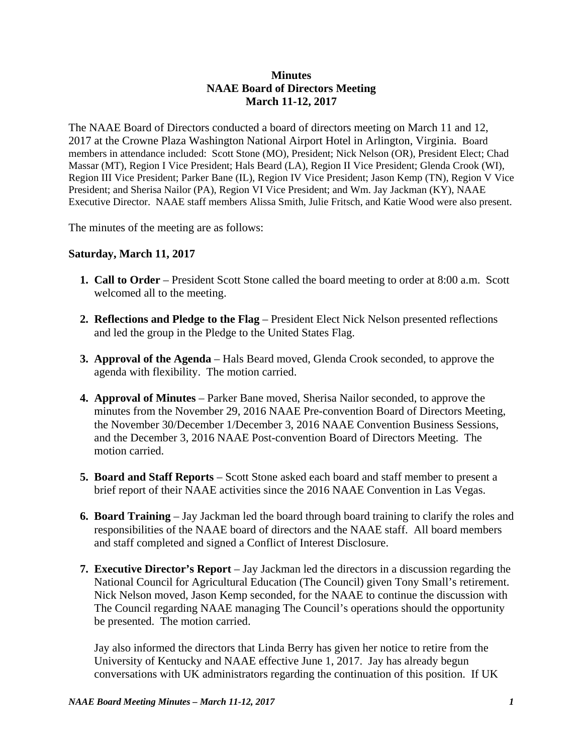## **Minutes NAAE Board of Directors Meeting March 11-12, 2017**

The NAAE Board of Directors conducted a board of directors meeting on March 11 and 12, 2017 at the Crowne Plaza Washington National Airport Hotel in Arlington, Virginia. Board members in attendance included: Scott Stone (MO), President; Nick Nelson (OR), President Elect; Chad Massar (MT), Region I Vice President; Hals Beard (LA), Region II Vice President; Glenda Crook (WI), Region III Vice President; Parker Bane (IL), Region IV Vice President; Jason Kemp (TN), Region V Vice President; and Sherisa Nailor (PA), Region VI Vice President; and Wm. Jay Jackman (KY), NAAE Executive Director. NAAE staff members Alissa Smith, Julie Fritsch, and Katie Wood were also present.

The minutes of the meeting are as follows:

## **Saturday, March 11, 2017**

- **1. Call to Order** President Scott Stone called the board meeting to order at 8:00 a.m. Scott welcomed all to the meeting.
- **2. Reflections and Pledge to the Flag** President Elect Nick Nelson presented reflections and led the group in the Pledge to the United States Flag.
- **3. Approval of the Agenda** Hals Beard moved, Glenda Crook seconded, to approve the agenda with flexibility. The motion carried.
- **4. Approval of Minutes** Parker Bane moved, Sherisa Nailor seconded, to approve the minutes from the November 29, 2016 NAAE Pre-convention Board of Directors Meeting, the November 30/December 1/December 3, 2016 NAAE Convention Business Sessions, and the December 3, 2016 NAAE Post-convention Board of Directors Meeting. The motion carried.
- **5. Board and Staff Reports** Scott Stone asked each board and staff member to present a brief report of their NAAE activities since the 2016 NAAE Convention in Las Vegas.
- **6. Board Training** Jay Jackman led the board through board training to clarify the roles and responsibilities of the NAAE board of directors and the NAAE staff. All board members and staff completed and signed a Conflict of Interest Disclosure.
- **7. Executive Director's Report** Jay Jackman led the directors in a discussion regarding the National Council for Agricultural Education (The Council) given Tony Small's retirement. Nick Nelson moved, Jason Kemp seconded, for the NAAE to continue the discussion with The Council regarding NAAE managing The Council's operations should the opportunity be presented. The motion carried.

 Jay also informed the directors that Linda Berry has given her notice to retire from the University of Kentucky and NAAE effective June 1, 2017. Jay has already begun conversations with UK administrators regarding the continuation of this position. If UK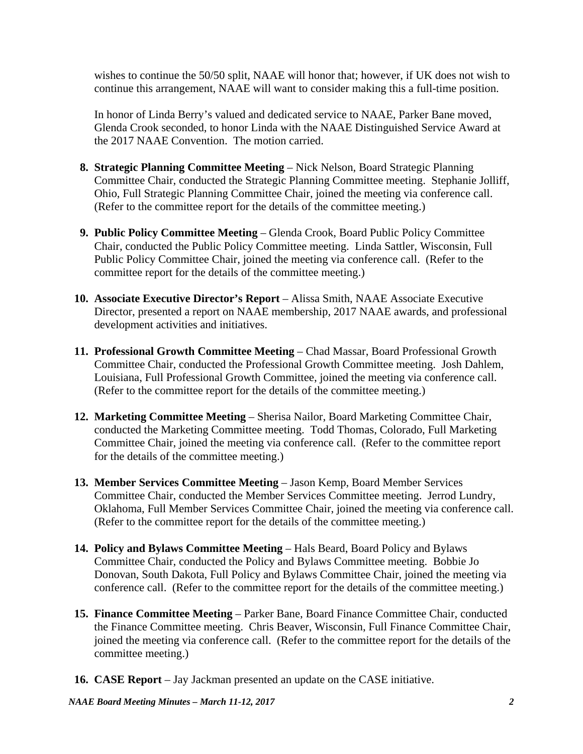wishes to continue the 50/50 split, NAAE will honor that; however, if UK does not wish to continue this arrangement, NAAE will want to consider making this a full-time position.

 In honor of Linda Berry's valued and dedicated service to NAAE, Parker Bane moved, Glenda Crook seconded, to honor Linda with the NAAE Distinguished Service Award at the 2017 NAAE Convention. The motion carried.

- **8. Strategic Planning Committee Meeting** Nick Nelson, Board Strategic Planning Committee Chair, conducted the Strategic Planning Committee meeting. Stephanie Jolliff, Ohio, Full Strategic Planning Committee Chair, joined the meeting via conference call. (Refer to the committee report for the details of the committee meeting.)
- **9. Public Policy Committee Meeting** Glenda Crook, Board Public Policy Committee Chair, conducted the Public Policy Committee meeting. Linda Sattler, Wisconsin, Full Public Policy Committee Chair, joined the meeting via conference call. (Refer to the committee report for the details of the committee meeting.)
- **10. Associate Executive Director's Report** Alissa Smith, NAAE Associate Executive Director, presented a report on NAAE membership, 2017 NAAE awards, and professional development activities and initiatives.
- **11. Professional Growth Committee Meeting** Chad Massar, Board Professional Growth Committee Chair, conducted the Professional Growth Committee meeting. Josh Dahlem, Louisiana, Full Professional Growth Committee, joined the meeting via conference call. (Refer to the committee report for the details of the committee meeting.)
- **12. Marketing Committee Meeting** Sherisa Nailor, Board Marketing Committee Chair, conducted the Marketing Committee meeting. Todd Thomas, Colorado, Full Marketing Committee Chair, joined the meeting via conference call. (Refer to the committee report for the details of the committee meeting.)
- 13. Member Services Committee Meeting Jason Kemp, Board Member Services Committee Chair, conducted the Member Services Committee meeting. Jerrod Lundry, Oklahoma, Full Member Services Committee Chair, joined the meeting via conference call. (Refer to the committee report for the details of the committee meeting.)
- **14. Policy and Bylaws Committee Meeting**  Hals Beard, Board Policy and Bylaws Committee Chair, conducted the Policy and Bylaws Committee meeting. Bobbie Jo Donovan, South Dakota, Full Policy and Bylaws Committee Chair, joined the meeting via conference call. (Refer to the committee report for the details of the committee meeting.)
- **15. Finance Committee Meeting**  Parker Bane, Board Finance Committee Chair, conducted the Finance Committee meeting. Chris Beaver, Wisconsin, Full Finance Committee Chair, joined the meeting via conference call. (Refer to the committee report for the details of the committee meeting.)
- **16. CASE Report** Jay Jackman presented an update on the CASE initiative.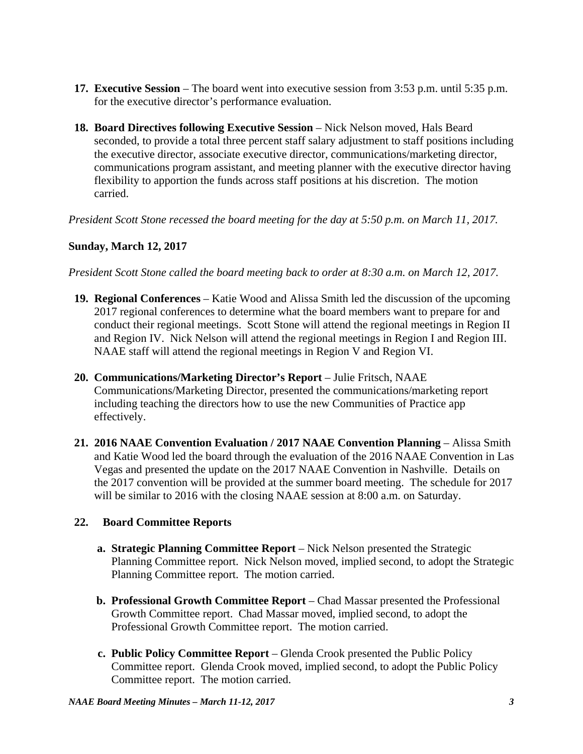- **17. Executive Session**  The board went into executive session from 3:53 p.m. until 5:35 p.m. for the executive director's performance evaluation.
- **18. Board Directives following Executive Session** Nick Nelson moved, Hals Beard seconded, to provide a total three percent staff salary adjustment to staff positions including the executive director, associate executive director, communications/marketing director, communications program assistant, and meeting planner with the executive director having flexibility to apportion the funds across staff positions at his discretion. The motion carried.

*President Scott Stone recessed the board meeting for the day at 5:50 p.m. on March 11, 2017.*

## **Sunday, March 12, 2017**

*President Scott Stone called the board meeting back to order at 8:30 a.m. on March 12, 2017.* 

- **19. Regional Conferences**  Katie Wood and Alissa Smith led the discussion of the upcoming 2017 regional conferences to determine what the board members want to prepare for and conduct their regional meetings. Scott Stone will attend the regional meetings in Region II and Region IV. Nick Nelson will attend the regional meetings in Region I and Region III. NAAE staff will attend the regional meetings in Region V and Region VI.
- **20. Communications/Marketing Director's Report** Julie Fritsch, NAAE Communications/Marketing Director, presented the communications/marketing report including teaching the directors how to use the new Communities of Practice app effectively.
- **21. 2016 NAAE Convention Evaluation / 2017 NAAE Convention Planning**  Alissa Smith and Katie Wood led the board through the evaluation of the 2016 NAAE Convention in Las Vegas and presented the update on the 2017 NAAE Convention in Nashville. Details on the 2017 convention will be provided at the summer board meeting. The schedule for 2017 will be similar to 2016 with the closing NAAE session at 8:00 a.m. on Saturday.

## **22. Board Committee Reports**

- **a. Strategic Planning Committee Report** Nick Nelson presented the Strategic Planning Committee report. Nick Nelson moved, implied second, to adopt the Strategic Planning Committee report. The motion carried.
- **b. Professional Growth Committee Report** Chad Massar presented the Professional Growth Committee report. Chad Massar moved, implied second, to adopt the Professional Growth Committee report. The motion carried.
- **c. Public Policy Committee Report**  Glenda Crook presented the Public Policy Committee report. Glenda Crook moved, implied second, to adopt the Public Policy Committee report. The motion carried.